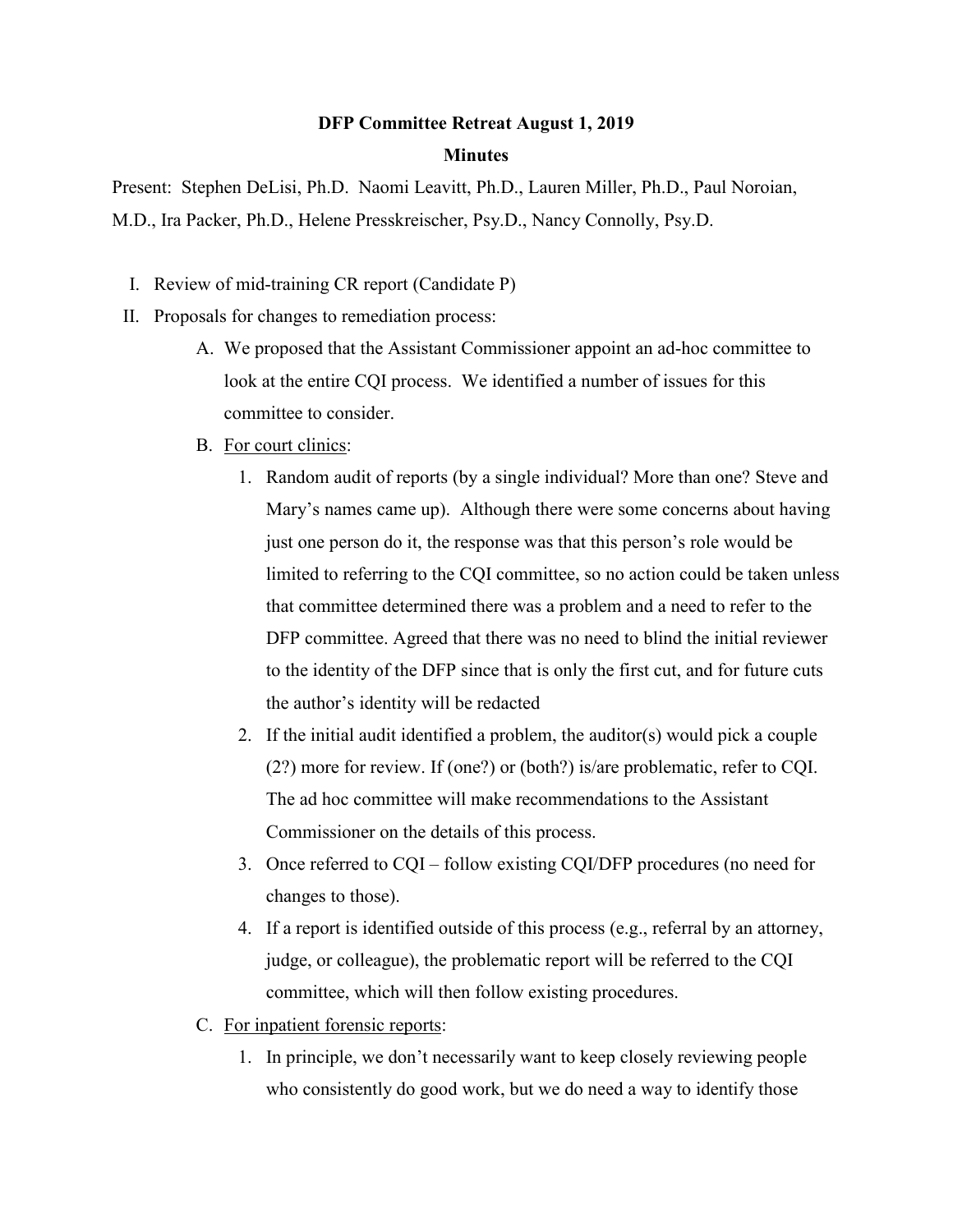## **DFP Committee Retreat August 1, 2019 Minutes**

Present: Stephen DeLisi, Ph.D. Naomi Leavitt, Ph.D., Lauren Miller, Ph.D., Paul Noroian, M.D., Ira Packer, Ph.D., Helene Presskreischer, Psy.D., Nancy Connolly, Psy.D.

- I. Review of mid-training CR report (Candidate P)
- II. Proposals for changes to remediation process:
	- A. We proposed that the Assistant Commissioner appoint an ad-hoc committee to look at the entire CQI process. We identified a number of issues for this committee to consider.
	- B. For court clinics:
		- 1. Random audit of reports (by a single individual? More than one? Steve and Mary's names came up). Although there were some concerns about having just one person do it, the response was that this person's role would be limited to referring to the CQI committee, so no action could be taken unless that committee determined there was a problem and a need to refer to the DFP committee. Agreed that there was no need to blind the initial reviewer to the identity of the DFP since that is only the first cut, and for future cuts the author's identity will be redacted
		- 2. If the initial audit identified a problem, the auditor(s) would pick a couple (2?) more for review. If (one?) or (both?) is/are problematic, refer to CQI. The ad hoc committee will make recommendations to the Assistant Commissioner on the details of this process.
		- 3. Once referred to CQI follow existing CQI/DFP procedures (no need for changes to those).
		- 4. If a report is identified outside of this process (e.g., referral by an attorney, judge, or colleague), the problematic report will be referred to the CQI committee, which will then follow existing procedures.
	- C. For inpatient forensic reports:
		- 1. In principle, we don't necessarily want to keep closely reviewing people who consistently do good work, but we do need a way to identify those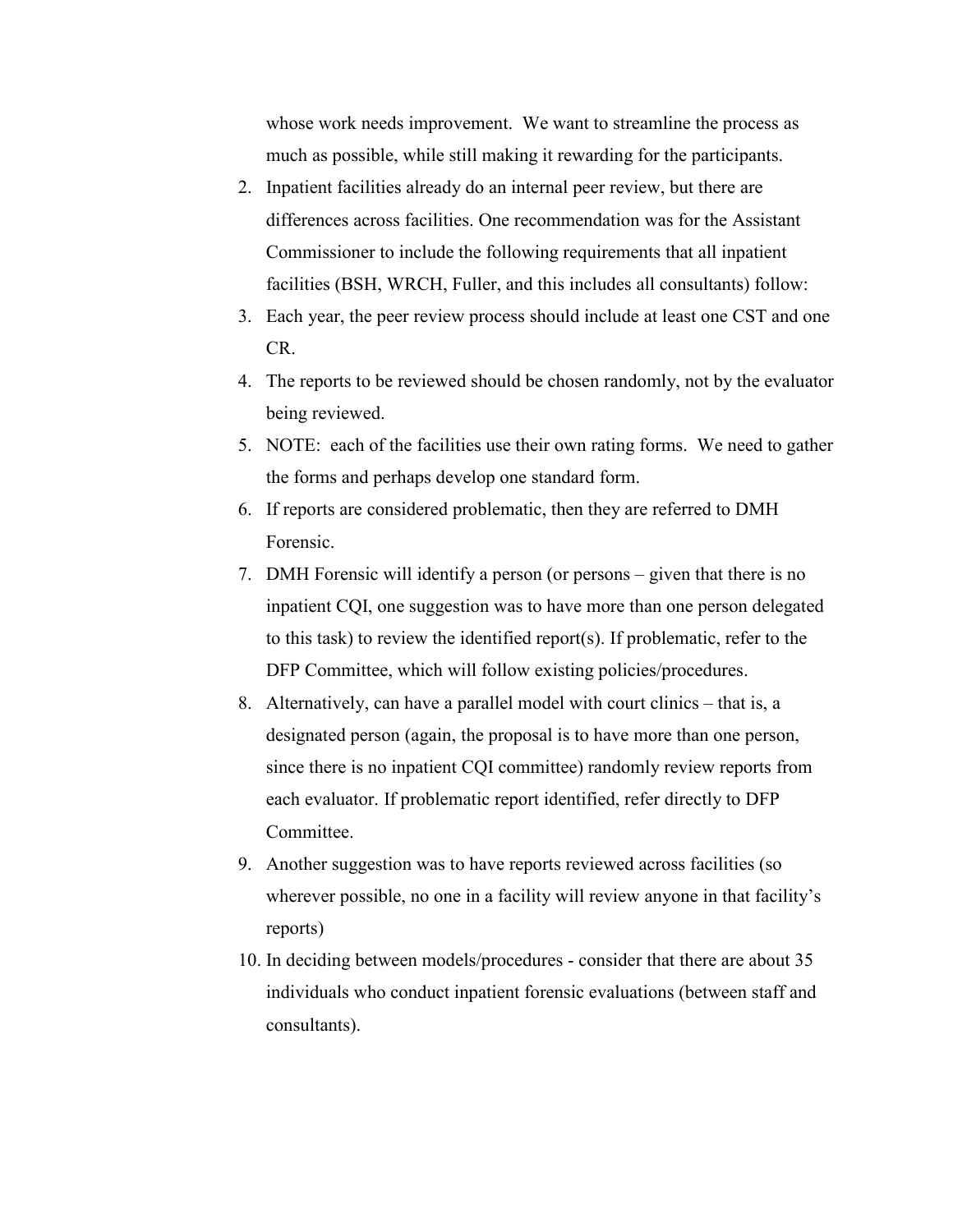whose work needs improvement. We want to streamline the process as much as possible, while still making it rewarding for the participants.

- 2. Inpatient facilities already do an internal peer review, but there are differences across facilities. One recommendation was for the Assistant Commissioner to include the following requirements that all inpatient facilities (BSH, WRCH, Fuller, and this includes all consultants) follow:
- 3. Each year, the peer review process should include at least one CST and one CR.
- 4. The reports to be reviewed should be chosen randomly, not by the evaluator being reviewed.
- 5. NOTE: each of the facilities use their own rating forms. We need to gather the forms and perhaps develop one standard form.
- 6. If reports are considered problematic, then they are referred to DMH Forensic.
- 7. DMH Forensic will identify a person (or persons given that there is no inpatient CQI, one suggestion was to have more than one person delegated to this task) to review the identified report(s). If problematic, refer to the DFP Committee, which will follow existing policies/procedures.
- 8. Alternatively, can have a parallel model with court clinics that is, a designated person (again, the proposal is to have more than one person, since there is no inpatient CQI committee) randomly review reports from each evaluator. If problematic report identified, refer directly to DFP Committee.
- 9. Another suggestion was to have reports reviewed across facilities (so wherever possible, no one in a facility will review anyone in that facility's reports)
- 10. In deciding between models/procedures consider that there are about 35 individuals who conduct inpatient forensic evaluations (between staff and consultants).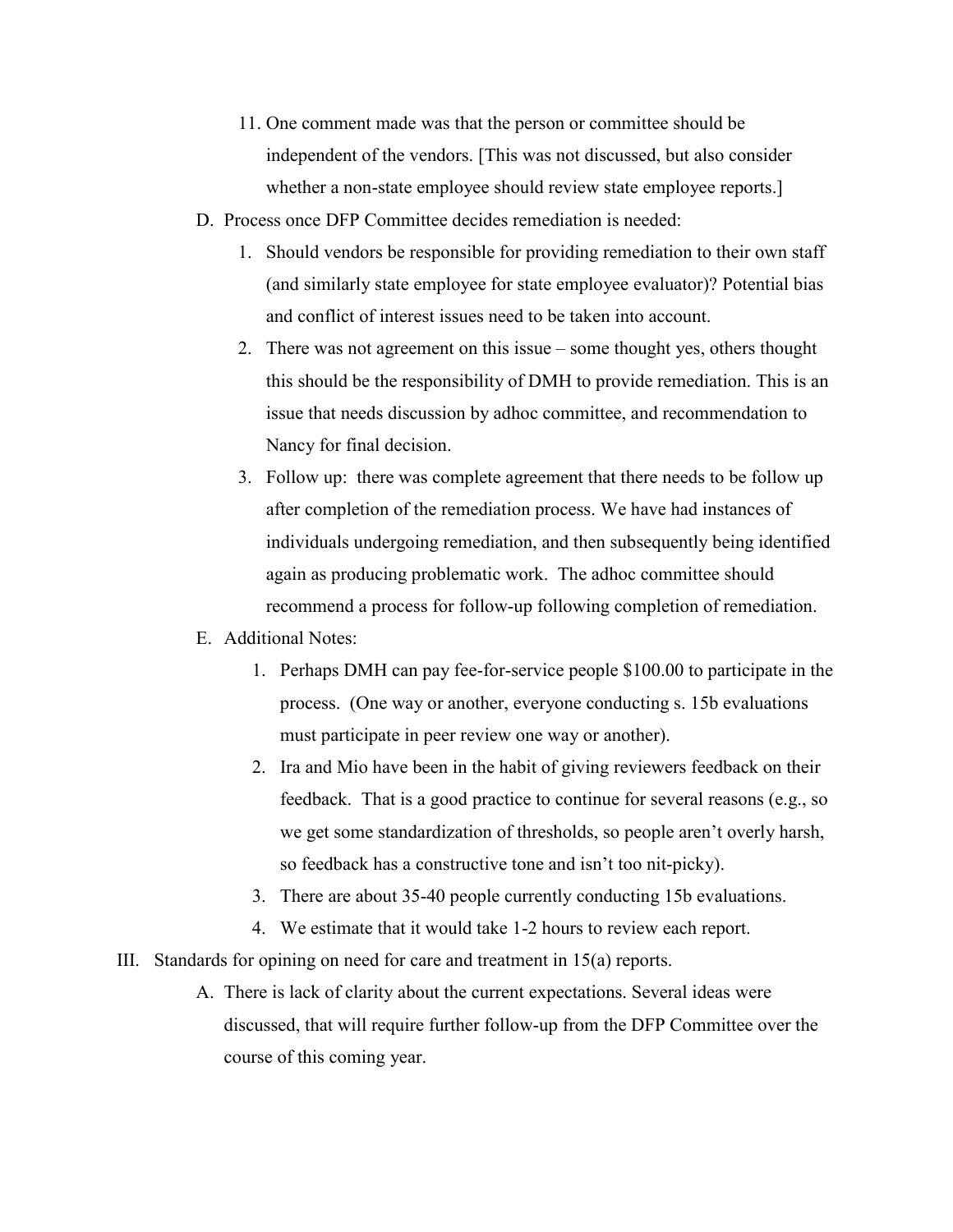- 11. One comment made was that the person or committee should be independent of the vendors. [This was not discussed, but also consider whether a non-state employee should review state employee reports.]
- D. Process once DFP Committee decides remediation is needed:
	- 1. Should vendors be responsible for providing remediation to their own staff (and similarly state employee for state employee evaluator)? Potential bias and conflict of interest issues need to be taken into account.
	- 2. There was not agreement on this issue some thought yes, others thought this should be the responsibility of DMH to provide remediation. This is an issue that needs discussion by adhoc committee, and recommendation to Nancy for final decision.
	- 3. Follow up: there was complete agreement that there needs to be follow up after completion of the remediation process. We have had instances of individuals undergoing remediation, and then subsequently being identified again as producing problematic work. The adhoc committee should recommend a process for follow-up following completion of remediation.

## E. Additional Notes:

- 1. Perhaps DMH can pay fee-for-service people \$100.00 to participate in the process. (One way or another, everyone conducting s. 15b evaluations must participate in peer review one way or another).
- 2. Ira and Mio have been in the habit of giving reviewers feedback on their feedback. That is a good practice to continue for several reasons (e.g., so we get some standardization of thresholds, so people aren't overly harsh, so feedback has a constructive tone and isn't too nit-picky).
- 3. There are about 35-40 people currently conducting 15b evaluations.
- 4. We estimate that it would take 1-2 hours to review each report.
- III. Standards for opining on need for care and treatment in 15(a) reports.
	- A. There is lack of clarity about the current expectations. Several ideas were discussed, that will require further follow-up from the DFP Committee over the course of this coming year.